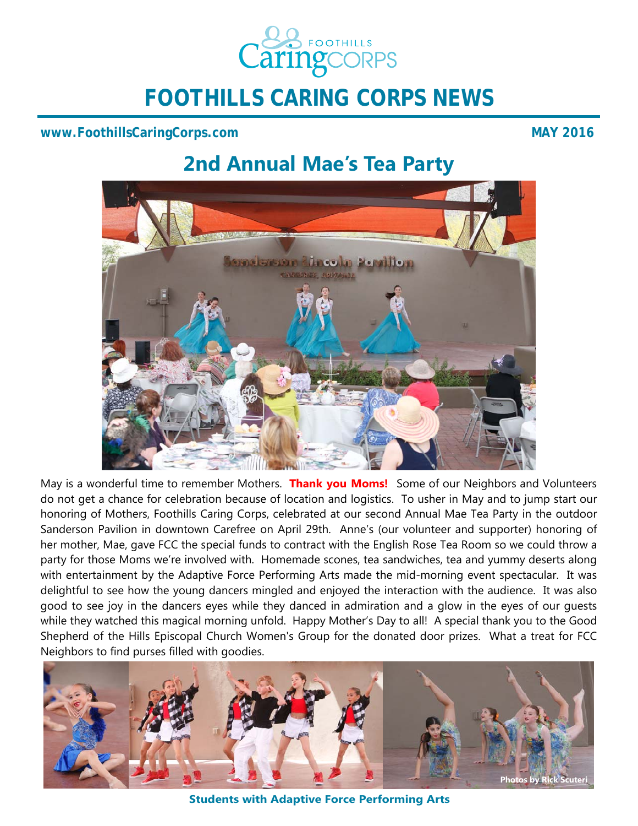

**FOOTHILLS CARING CORPS NEWS** 

#### **www.FoothillsCaringCorps.com** MAY 2016

# **2nd Annual Mae's Tea Party**



May is a wonderful time to remember Mothers. **Thank you Moms!** Some of our Neighbors and Volunteers do not get a chance for celebration because of location and logistics. To usher in May and to jump start our honoring of Mothers, Foothills Caring Corps, celebrated at our second Annual Mae Tea Party in the outdoor Sanderson Pavilion in downtown Carefree on April 29th. Anne's (our volunteer and supporter) honoring of her mother, Mae, gave FCC the special funds to contract with the English Rose Tea Room so we could throw a party for those Moms we're involved with. Homemade scones, tea sandwiches, tea and yummy deserts along with entertainment by the Adaptive Force Performing Arts made the mid-morning event spectacular. It was delightful to see how the young dancers mingled and enjoyed the interaction with the audience. It was also good to see joy in the dancers eyes while they danced in admiration and a glow in the eyes of our guests while they watched this magical morning unfold. Happy Mother's Day to all! A special thank you to the Good Shepherd of the Hills Episcopal Church Women's Group for the donated door prizes. What a treat for FCC Neighbors to find purses filled with goodies.



**Students with Adaptive Force Performing Arts**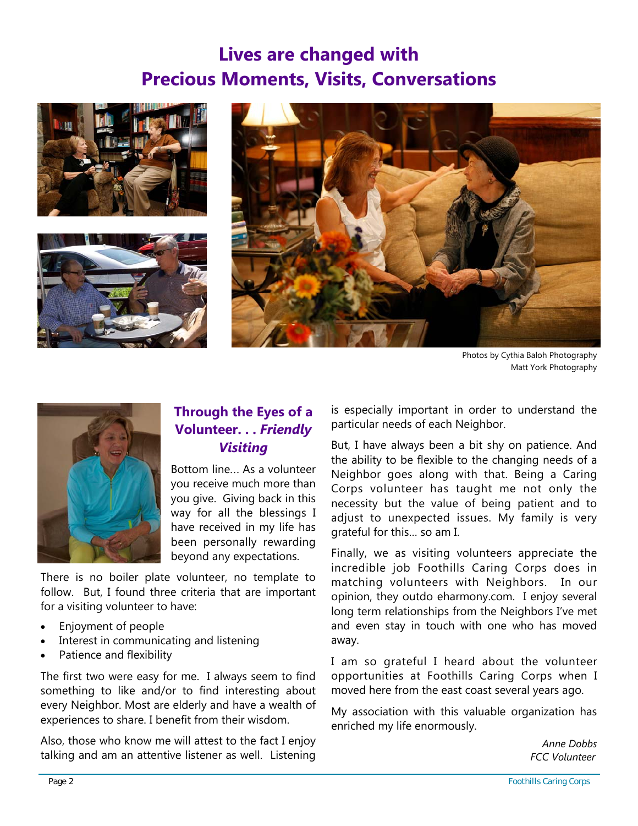# **Lives are changed with Precious Moments, Visits, Conversations**







Photos by Cythia Baloh Photography Matt York Photography



### **Through the Eyes of a Volunteer. . .** *Friendly Visiting*

Bottom line... As a volunteer you receive much more than you give. Giving back in this way for all the blessings I have received in my life has been personally rewarding beyond any expectations.

There is no boiler plate volunteer, no template to follow. But, I found three criteria that are important for a visiting volunteer to have:

- Enjoyment of people
- Interest in communicating and listening
- Patience and flexibility

The first two were easy for me. I always seem to find something to like and/or to find interesting about every Neighbor. Most are elderly and have a wealth of experiences to share. I benefit from their wisdom.

Also, those who know me will attest to the fact I enjoy talking and am an attentive listener as well. Listening

is especially important in order to understand the particular needs of each Neighbor.

But, I have always been a bit shy on patience. And the ability to be flexible to the changing needs of a Neighbor goes along with that. Being a Caring Corps volunteer has taught me not only the necessity but the value of being patient and to adjust to unexpected issues. My family is very grateful for this… so am I.

Finally, we as visiting volunteers appreciate the incredible job Foothills Caring Corps does in matching volunteers with Neighbors. In our opinion, they outdo eharmony.com. I enjoy several long term relationships from the Neighbors I've met and even stay in touch with one who has moved away.

I am so grateful I heard about the volunteer opportunities at Foothills Caring Corps when I moved here from the east coast several years ago.

My association with this valuable organization has enriched my life enormously.

> *Anne Dobbs FCC Volunteer*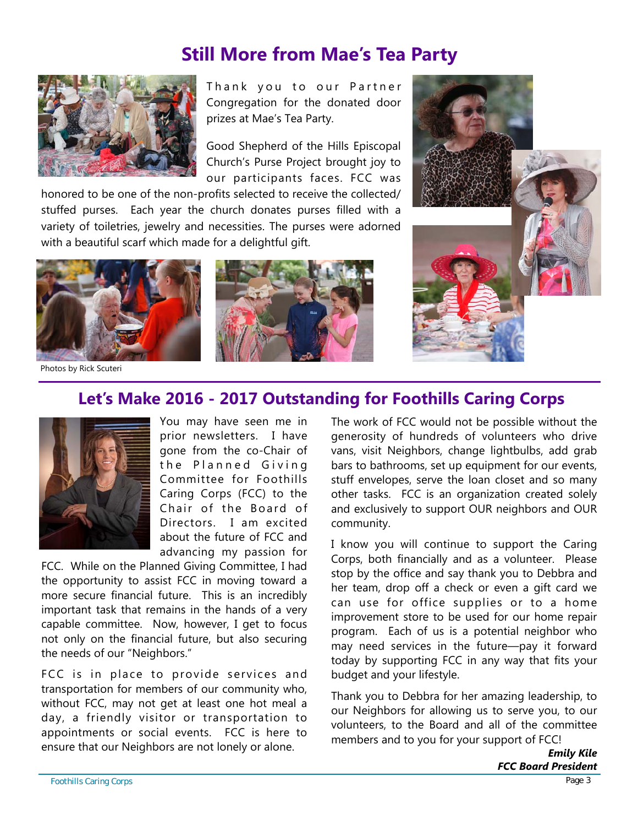## **Still More from Mae's Tea Party**

![](_page_2_Picture_1.jpeg)

Thank you to our Partner Congregation for the donated door prizes at Mae's Tea Party.

Good Shepherd of the Hills Episcopal Church's Purse Project brought joy to our participants faces. FCC was

honored to be one of the non-profits selected to receive the collected/ stuffed purses. Each year the church donates purses filled with a variety of toiletries, jewelry and necessities. The purses were adorned with a beautiful scarf which made for a delightful gift.

![](_page_2_Picture_5.jpeg)

Photos by Rick Scuteri

![](_page_2_Picture_7.jpeg)

![](_page_2_Picture_8.jpeg)

### **Let's Make 2016 - 2017 Outstanding for Foothills Caring Corps**

![](_page_2_Picture_10.jpeg)

You may have seen me in prior newsletters. I have gone from the co-Chair of the Planned Giving Committee for Foothills Caring Corps (FCC) to the Chair of the Board of Directors. I am excited about the future of FCC and advancing my passion for

FCC. While on the Planned Giving Committee, I had the opportunity to assist FCC in moving toward a more secure financial future. This is an incredibly important task that remains in the hands of a very capable committee. Now, however, I get to focus not only on the financial future, but also securing the needs of our "Neighbors."

FCC is in place to provide services and transportation for members of our community who, without FCC, may not get at least one hot meal a day, a friendly visitor or transportation to appointments or social events. FCC is here to ensure that our Neighbors are not lonely or alone.

The work of FCC would not be possible without the generosity of hundreds of volunteers who drive vans, visit Neighbors, change lightbulbs, add grab bars to bathrooms, set up equipment for our events, stuff envelopes, serve the loan closet and so many other tasks. FCC is an organization created solely and exclusively to support OUR neighbors and OUR community.

I know you will continue to support the Caring Corps, both financially and as a volunteer. Please stop by the office and say thank you to Debbra and her team, drop off a check or even a gift card we can use for office supplies or to a home improvement store to be used for our home repair program. Each of us is a potential neighbor who may need services in the future—pay it forward today by supporting FCC in any way that fits your budget and your lifestyle.

Thank you to Debbra for her amazing leadership, to our Neighbors for allowing us to serve you, to our volunteers, to the Board and all of the committee members and to you for your support of FCC!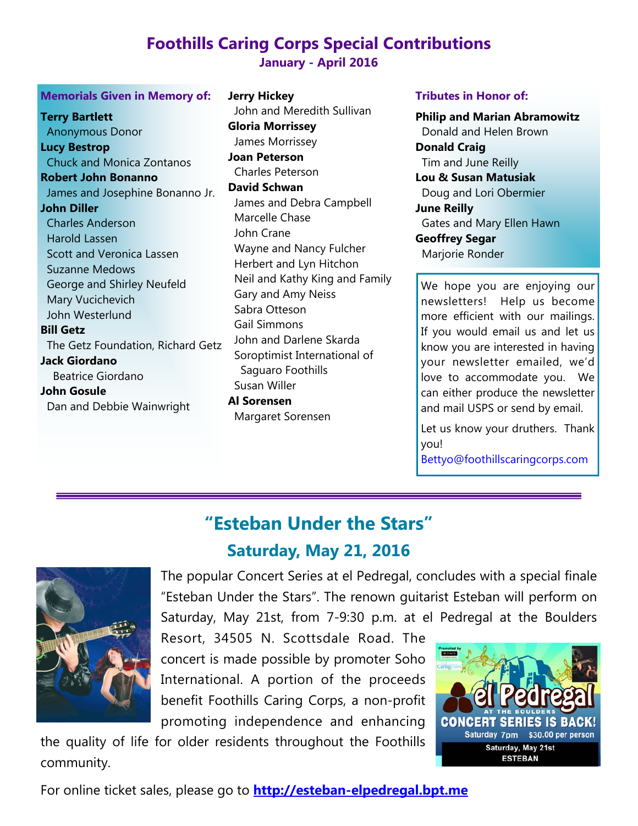# **Foothills Caring Corps Special Contributions**

### **January - April 2016**

#### **Memorials Given in Memory of:**

**Terry Bartlett**  Anonymous Donor **Lucy Bestrop**  Chuck and Monica Zontanos **Robert John Bonanno**  James and Josephine Bonanno Jr. **John Diller**  Charles Anderson Harold Lassen Scott and Veronica Lassen Suzanne Medows George and Shirley Neufeld Mary Vucichevich John Westerlund **Bill Getz** The Getz Foundation, Richard Getz **Jack Giordano**  Beatrice Giordano **John Gosule**  Dan and Debbie Wainwright

**Jerry Hickey** John and Meredith Sullivan **Gloria Morrissey** James Morrissey **Joan Peterson** Charles Peterson **David Schwan**  James and Debra Campbell Marcelle Chase John Crane Wayne and Nancy Fulcher Herbert and Lyn Hitchon Neil and Kathy King and Family Gary and Amy Neiss Sabra Otteson Gail Simmons John and Darlene Skarda Soroptimist International of Saguaro Foothills Susan Willer

**Al Sorensen**  Margaret Sorensen

#### **Tributes in Honor of:**

**Philip and Marian Abramowitz** Donald and Helen Brown **Donald Craig** Tim and June Reilly **Lou & Susan Matusiak** Doug and Lori Obermier **June Reilly**  Gates and Mary Ellen Hawn **Geoffrey Segar**  Marjorie Ronder

We hope you are enjoying our newsletters! Help us become more efficient with our mailings. If you would email us and let us know you are interested in having your newsletter emailed, we'd love to accommodate you. We can either produce the newsletter and mail USPS or send by email.

Let us know your druthers. Thank you!

Bettyo@foothillscaringcorps.com

# **"Esteban Under the Stars" Saturday, May 21, 2016**

![](_page_3_Picture_12.jpeg)

The popular Concert Series at el Pedregal, concludes with a special finale "Esteban Under the Stars". The renown guitarist Esteban will perform on Saturday, May 21st, from 7-9:30 p.m. at el Pedregal at the Boulders

Resort, 34505 N. Scottsdale Road. The concert is made possible by promoter Soho International. A portion of the proceeds benefit Foothills Caring Corps, a non-profit promoting independence and enhancing

the quality of life for older residents throughout the Foothills community.

![](_page_3_Picture_16.jpeg)

For online ticket sales, please go to **http://esteban-elpedregal.bpt.me**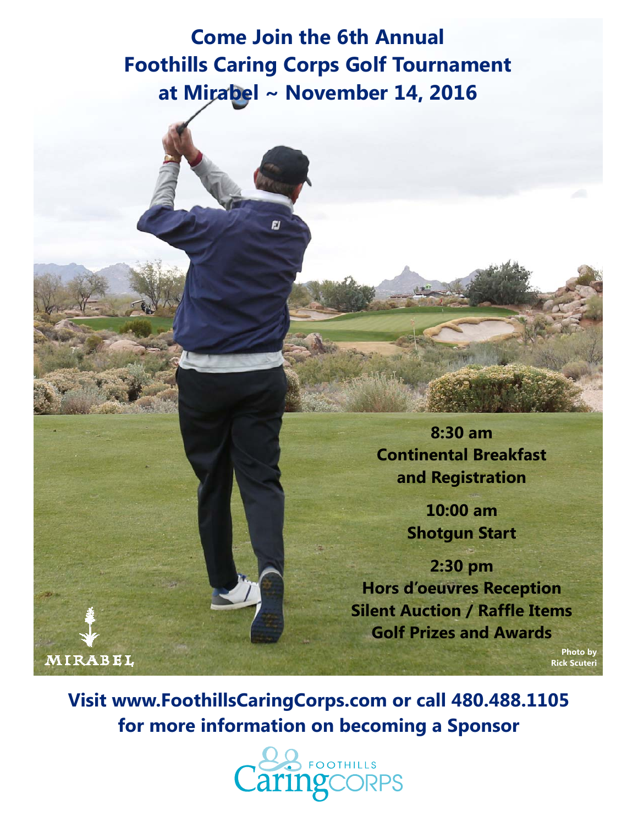**Come Join the 6th Annual Foothills Caring Corps Golf Tournament at Mirabel ~ November 14, 2016** 

**FJ** 

**8:30 am Continental Breakfast and Registration** 

> **10:00 am Shotgun Start**

**2:30 pm Hors d'oeuvres Reception Silent Auction / Raffle Items Golf Prizes and Awards** 

> **Photo by Rick Scuteri**

**Visit www.FoothillsCaringCorps.com or call 480.488.1105 for more information on becoming a Sponsor** 

**MIRABEL** 

![](_page_4_Picture_6.jpeg)